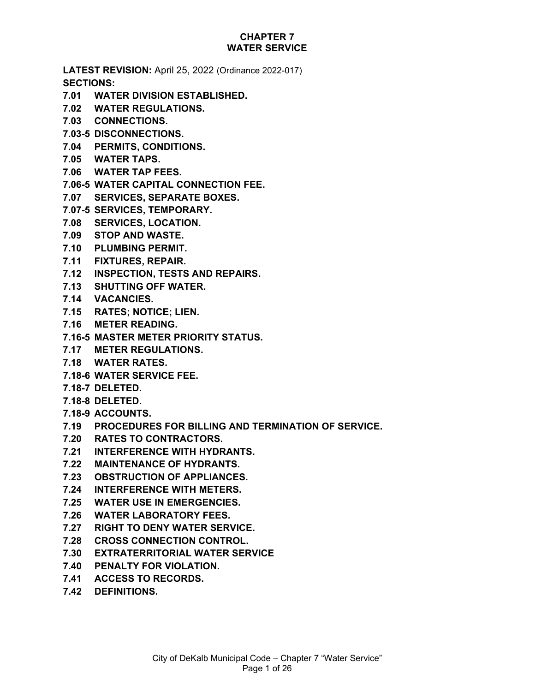# **CHAPTER 7 WATER SERVICE**

**LATEST REVISION:** April 25, 2022 (Ordinance 2022-017) **SECTIONS:**

- **7.01 WATER DIVISION ESTABLISHED.**
- **7.02 WATER REGULATIONS.**
- **7.03 CONNECTIONS.**
- **7.03-5 DISCONNECTIONS.**
- **7.04 PERMITS, CONDITIONS.**
- **7.05 WATER TAPS.**
- **7.06 WATER TAP FEES.**
- **7.06-5 WATER CAPITAL CONNECTION FEE.**
- **7.07 SERVICES, SEPARATE BOXES.**
- **7.07-5 SERVICES, TEMPORARY.**
- **7.08 SERVICES, LOCATION.**
- **7.09 STOP AND WASTE.**
- **7.10 PLUMBING PERMIT.**
- **7.11 FIXTURES, REPAIR.**
- **7.12 INSPECTION, TESTS AND REPAIRS.**
- **7.13 SHUTTING OFF WATER.**
- **7.14 VACANCIES.**
- **7.15 RATES; NOTICE; LIEN.**
- **7.16 METER READING.**
- **7.16-5 MASTER METER PRIORITY STATUS.**
- **7.17 METER REGULATIONS.**
- **7.18 WATER RATES.**
- **7.18-6 WATER SERVICE FEE.**
- **7.18-7 DELETED.**
- **7.18-8 DELETED.**
- **7.18-9 ACCOUNTS.**
- **7.19 PROCEDURES FOR BILLING AND TERMINATION OF SERVICE.**
- **7.20 RATES TO CONTRACTORS.**
- **7.21 INTERFERENCE WITH HYDRANTS.**
- **7.22 MAINTENANCE OF HYDRANTS.**
- **7.23 OBSTRUCTION OF APPLIANCES.**
- **7.24 INTERFERENCE WITH METERS.**
- **7.25 WATER USE IN EMERGENCIES.**
- **7.26 WATER LABORATORY FEES.**
- **7.27 RIGHT TO DENY WATER SERVICE.**
- **7.28 CROSS CONNECTION CONTROL.**
- **7.30 EXTRATERRITORIAL WATER SERVICE**
- **7.40 PENALTY FOR VIOLATION.**
- **7.41 ACCESS TO RECORDS.**
- **7.42 DEFINITIONS.**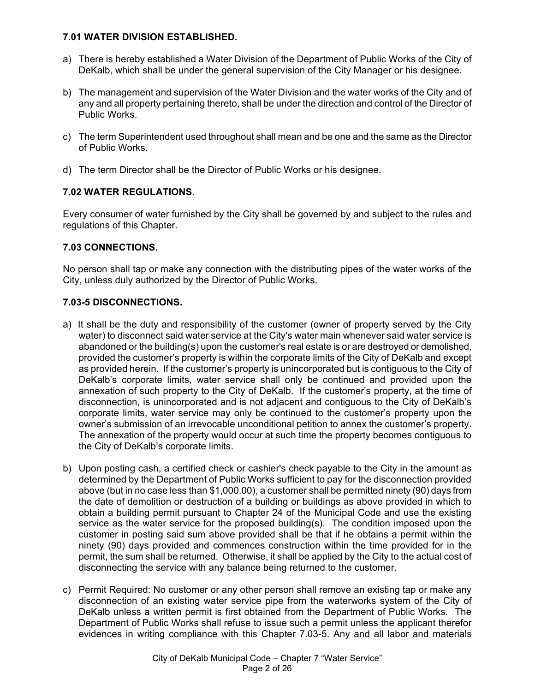### **7.01 WATER DIVISION ESTABLISHED.**

- a) There is hereby established a Water Division of the Department of Public Works of the City of DeKalb, which shall be under the general supervision of the City Manager or his designee.
- b) The management and supervision of the Water Division and the water works of the City and of any and all property pertaining thereto, shall be under the direction and control of the Director of Public Works.
- c) The term Superintendent used throughout shall mean and be one and the same as the Director of Public Works.
- d) The term Director shall be the Director of Public Works or his designee.

# **7.02 WATER REGULATIONS.**

Every consumer of water furnished by the City shall be governed by and subject to the rules and regulations of this Chapter.

# **7.03 CONNECTIONS.**

No person shall tap or make any connection with the distributing pipes of the water works of the City, unless duly authorized by the Director of Public Works.

### **7.03-5 DISCONNECTIONS.**

- a) It shall be the duty and responsibility of the customer (owner of property served by the City water) to disconnect said water service at the City's water main whenever said water service is abandoned or the building(s) upon the customer's real estate is or are destroyed or demolished, provided the customer's property is within the corporate limits of the City of DeKalb and except as provided herein. If the customer's property is unincorporated but is contiguous to the City of DeKalb's corporate limits, water service shall only be continued and provided upon the annexation of such property to the City of DeKalb. If the customer's property, at the time of disconnection, is unincorporated and is not adjacent and contiguous to the City of DeKalb's corporate limits, water service may only be continued to the customer's property upon the owner's submission of an irrevocable unconditional petition to annex the customer's property. The annexation of the property would occur at such time the property becomes contiguous to the City of DeKalb's corporate limits.
- b) Upon posting cash, a certified check or cashier's check payable to the City in the amount as determined by the Department of Public Works sufficient to pay for the disconnection provided above (but in no case less than \$1,000.00), a customer shall be permitted ninety (90) days from the date of demolition or destruction of a building or buildings as above provided in which to obtain a building permit pursuant to Chapter 24 of the Municipal Code and use the existing service as the water service for the proposed building(s). The condition imposed upon the customer in posting said sum above provided shall be that if he obtains a permit within the ninety (90) days provided and commences construction within the time provided for in the permit, the sum shall be returned. Otherwise, it shall be applied by the City to the actual cost of disconnecting the service with any balance being returned to the customer.
- c) Permit Required: No customer or any other person shall remove an existing tap or make any disconnection of an existing water service pipe from the waterworks system of the City of DeKalb unless a written permit is first obtained from the Department of Public Works. The Department of Public Works shall refuse to issue such a permit unless the applicant therefor evidences in writing compliance with this Chapter 7.03-5. Any and all labor and materials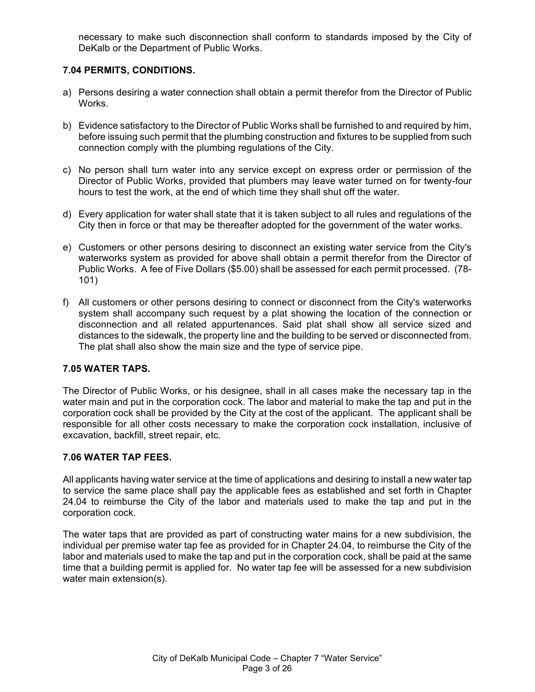necessary to make such disconnection shall conform to standards imposed by the City of DeKalb or the Department of Public Works.

# **7.04 PERMITS, CONDITIONS.**

- a) Persons desiring a water connection shall obtain a permit therefor from the Director of Public Works.
- b) Evidence satisfactory to the Director of Public Works shall be furnished to and required by him, before issuing such permit that the plumbing construction and fixtures to be supplied from such connection comply with the plumbing regulations of the City.
- c) No person shall turn water into any service except on express order or permission of the Director of Public Works, provided that plumbers may leave water turned on for twenty-four hours to test the work, at the end of which time they shall shut off the water.
- d) Every application for water shall state that it is taken subject to all rules and regulations of the City then in force or that may be thereafter adopted for the government of the water works.
- e) Customers or other persons desiring to disconnect an existing water service from the City's waterworks system as provided for above shall obtain a permit therefor from the Director of Public Works. A fee of Five Dollars (\$5.00) shall be assessed for each permit processed. (78- 101)
- f) All customers or other persons desiring to connect or disconnect from the City's waterworks system shall accompany such request by a plat showing the location of the connection or disconnection and all related appurtenances. Said plat shall show all service sized and distances to the sidewalk, the property line and the building to be served or disconnected from. The plat shall also show the main size and the type of service pipe.

### **7.05 WATER TAPS.**

The Director of Public Works, or his designee, shall in all cases make the necessary tap in the water main and put in the corporation cock. The labor and material to make the tap and put in the corporation cock shall be provided by the City at the cost of the applicant. The applicant shall be responsible for all other costs necessary to make the corporation cock installation, inclusive of excavation, backfill, street repair, etc.

#### **7.06 WATER TAP FEES.**

All applicants having water service at the time of applications and desiring to install a new water tap to service the same place shall pay the applicable fees as established and set forth in Chapter 24.04 to reimburse the City of the labor and materials used to make the tap and put in the corporation cock.

The water taps that are provided as part of constructing water mains for a new subdivision, the individual per premise water tap fee as provided for in Chapter 24.04, to reimburse the City of the labor and materials used to make the tap and put in the corporation cock, shall be paid at the same time that a building permit is applied for. No water tap fee will be assessed for a new subdivision water main extension(s).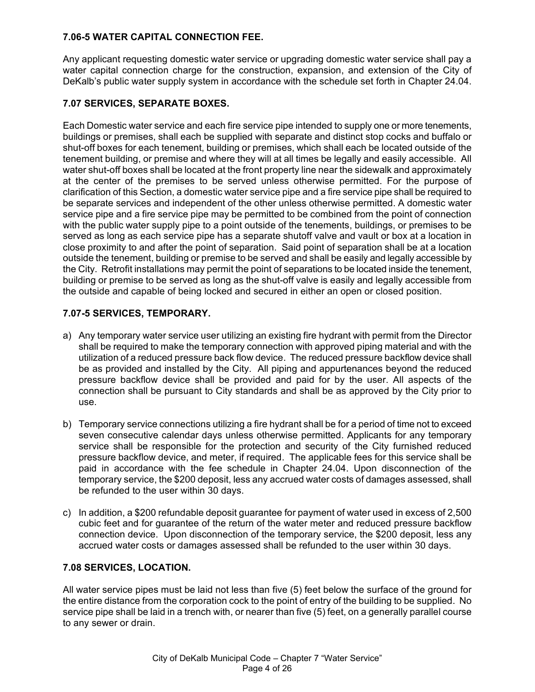### **7.06-5 WATER CAPITAL CONNECTION FEE.**

Any applicant requesting domestic water service or upgrading domestic water service shall pay a water capital connection charge for the construction, expansion, and extension of the City of DeKalb's public water supply system in accordance with the schedule set forth in Chapter 24.04.

# **7.07 SERVICES, SEPARATE BOXES.**

Each Domestic water service and each fire service pipe intended to supply one or more tenements, buildings or premises, shall each be supplied with separate and distinct stop cocks and buffalo or shut-off boxes for each tenement, building or premises, which shall each be located outside of the tenement building, or premise and where they will at all times be legally and easily accessible. All water shut-off boxes shall be located at the front property line near the sidewalk and approximately at the center of the premises to be served unless otherwise permitted. For the purpose of clarification of this Section, a domestic water service pipe and a fire service pipe shall be required to be separate services and independent of the other unless otherwise permitted. A domestic water service pipe and a fire service pipe may be permitted to be combined from the point of connection with the public water supply pipe to a point outside of the tenements, buildings, or premises to be served as long as each service pipe has a separate shutoff valve and vault or box at a location in close proximity to and after the point of separation. Said point of separation shall be at a location outside the tenement, building or premise to be served and shall be easily and legally accessible by the City. Retrofit installations may permit the point of separations to be located inside the tenement, building or premise to be served as long as the shut-off valve is easily and legally accessible from the outside and capable of being locked and secured in either an open or closed position.

# **7.07-5 SERVICES, TEMPORARY.**

- a) Any temporary water service user utilizing an existing fire hydrant with permit from the Director shall be required to make the temporary connection with approved piping material and with the utilization of a reduced pressure back flow device. The reduced pressure backflow device shall be as provided and installed by the City. All piping and appurtenances beyond the reduced pressure backflow device shall be provided and paid for by the user. All aspects of the connection shall be pursuant to City standards and shall be as approved by the City prior to use.
- b) Temporary service connections utilizing a fire hydrant shall be for a period of time not to exceed seven consecutive calendar days unless otherwise permitted. Applicants for any temporary service shall be responsible for the protection and security of the City furnished reduced pressure backflow device, and meter, if required. The applicable fees for this service shall be paid in accordance with the fee schedule in Chapter 24.04. Upon disconnection of the temporary service, the \$200 deposit, less any accrued water costs of damages assessed, shall be refunded to the user within 30 days.
- c) In addition, a \$200 refundable deposit guarantee for payment of water used in excess of 2,500 cubic feet and for guarantee of the return of the water meter and reduced pressure backflow connection device. Upon disconnection of the temporary service, the \$200 deposit, less any accrued water costs or damages assessed shall be refunded to the user within 30 days.

### **7.08 SERVICES, LOCATION.**

All water service pipes must be laid not less than five (5) feet below the surface of the ground for the entire distance from the corporation cock to the point of entry of the building to be supplied. No service pipe shall be laid in a trench with, or nearer than five (5) feet, on a generally parallel course to any sewer or drain.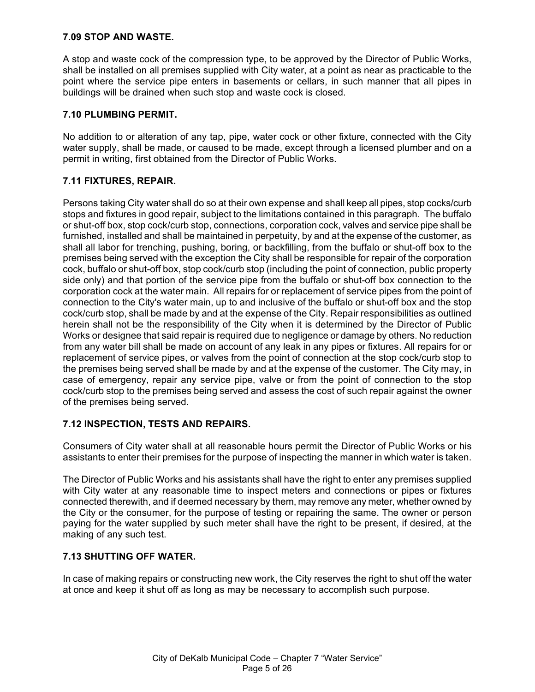### **7.09 STOP AND WASTE.**

A stop and waste cock of the compression type, to be approved by the Director of Public Works, shall be installed on all premises supplied with City water, at a point as near as practicable to the point where the service pipe enters in basements or cellars, in such manner that all pipes in buildings will be drained when such stop and waste cock is closed.

# **7.10 PLUMBING PERMIT.**

No addition to or alteration of any tap, pipe, water cock or other fixture, connected with the City water supply, shall be made, or caused to be made, except through a licensed plumber and on a permit in writing, first obtained from the Director of Public Works.

# **7.11 FIXTURES, REPAIR.**

Persons taking City water shall do so at their own expense and shall keep all pipes, stop cocks/curb stops and fixtures in good repair, subject to the limitations contained in this paragraph. The buffalo or shut-off box, stop cock/curb stop, connections, corporation cock, valves and service pipe shall be furnished, installed and shall be maintained in perpetuity, by and at the expense of the customer, as shall all labor for trenching, pushing, boring, or backfilling, from the buffalo or shut-off box to the premises being served with the exception the City shall be responsible for repair of the corporation cock, buffalo or shut-off box, stop cock/curb stop (including the point of connection, public property side only) and that portion of the service pipe from the buffalo or shut-off box connection to the corporation cock at the water main. All repairs for or replacement of service pipes from the point of connection to the City's water main, up to and inclusive of the buffalo or shut-off box and the stop cock/curb stop, shall be made by and at the expense of the City. Repair responsibilities as outlined herein shall not be the responsibility of the City when it is determined by the Director of Public Works or designee that said repair is required due to negligence or damage by others. No reduction from any water bill shall be made on account of any leak in any pipes or fixtures. All repairs for or replacement of service pipes, or valves from the point of connection at the stop cock/curb stop to the premises being served shall be made by and at the expense of the customer. The City may, in case of emergency, repair any service pipe, valve or from the point of connection to the stop cock/curb stop to the premises being served and assess the cost of such repair against the owner of the premises being served.

### **7.12 INSPECTION, TESTS AND REPAIRS.**

Consumers of City water shall at all reasonable hours permit the Director of Public Works or his assistants to enter their premises for the purpose of inspecting the manner in which water is taken.

The Director of Public Works and his assistants shall have the right to enter any premises supplied with City water at any reasonable time to inspect meters and connections or pipes or fixtures connected therewith, and if deemed necessary by them, may remove any meter, whether owned by the City or the consumer, for the purpose of testing or repairing the same. The owner or person paying for the water supplied by such meter shall have the right to be present, if desired, at the making of any such test.

# **7.13 SHUTTING OFF WATER.**

In case of making repairs or constructing new work, the City reserves the right to shut off the water at once and keep it shut off as long as may be necessary to accomplish such purpose.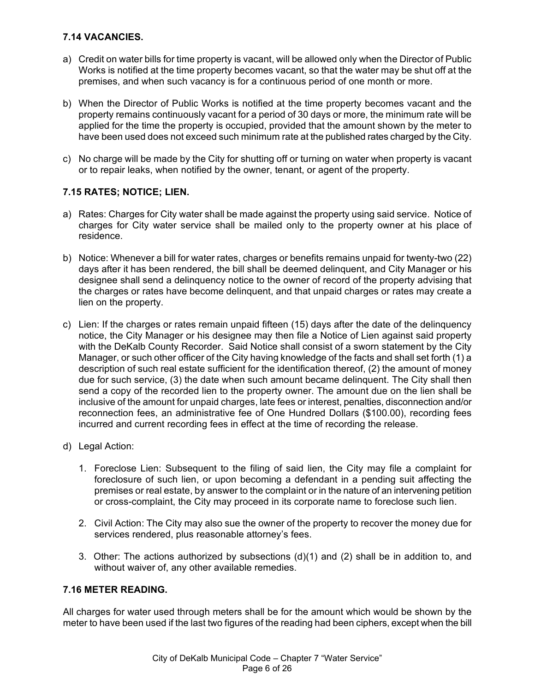# **7.14 VACANCIES.**

- a) Credit on water bills for time property is vacant, will be allowed only when the Director of Public Works is notified at the time property becomes vacant, so that the water may be shut off at the premises, and when such vacancy is for a continuous period of one month or more.
- b) When the Director of Public Works is notified at the time property becomes vacant and the property remains continuously vacant for a period of 30 days or more, the minimum rate will be applied for the time the property is occupied, provided that the amount shown by the meter to have been used does not exceed such minimum rate at the published rates charged by the City.
- c) No charge will be made by the City for shutting off or turning on water when property is vacant or to repair leaks, when notified by the owner, tenant, or agent of the property.

### **7.15 RATES; NOTICE; LIEN.**

- a) Rates: Charges for City water shall be made against the property using said service. Notice of charges for City water service shall be mailed only to the property owner at his place of residence.
- b) Notice: Whenever a bill for water rates, charges or benefits remains unpaid for twenty-two (22) days after it has been rendered, the bill shall be deemed delinquent, and City Manager or his designee shall send a delinquency notice to the owner of record of the property advising that the charges or rates have become delinquent, and that unpaid charges or rates may create a lien on the property.
- c) Lien: If the charges or rates remain unpaid fifteen (15) days after the date of the delinquency notice, the City Manager or his designee may then file a Notice of Lien against said property with the DeKalb County Recorder. Said Notice shall consist of a sworn statement by the City Manager, or such other officer of the City having knowledge of the facts and shall set forth (1) a description of such real estate sufficient for the identification thereof, (2) the amount of money due for such service, (3) the date when such amount became delinquent. The City shall then send a copy of the recorded lien to the property owner. The amount due on the lien shall be inclusive of the amount for unpaid charges, late fees or interest, penalties, disconnection and/or reconnection fees, an administrative fee of One Hundred Dollars (\$100.00), recording fees incurred and current recording fees in effect at the time of recording the release.
- d) Legal Action:
	- 1. Foreclose Lien: Subsequent to the filing of said lien, the City may file a complaint for foreclosure of such lien, or upon becoming a defendant in a pending suit affecting the premises or real estate, by answer to the complaint or in the nature of an intervening petition or cross-complaint, the City may proceed in its corporate name to foreclose such lien.
	- 2. Civil Action: The City may also sue the owner of the property to recover the money due for services rendered, plus reasonable attorney's fees.
	- 3. Other: The actions authorized by subsections (d)(1) and (2) shall be in addition to, and without waiver of, any other available remedies.

### **7.16 METER READING.**

All charges for water used through meters shall be for the amount which would be shown by the meter to have been used if the last two figures of the reading had been ciphers, except when the bill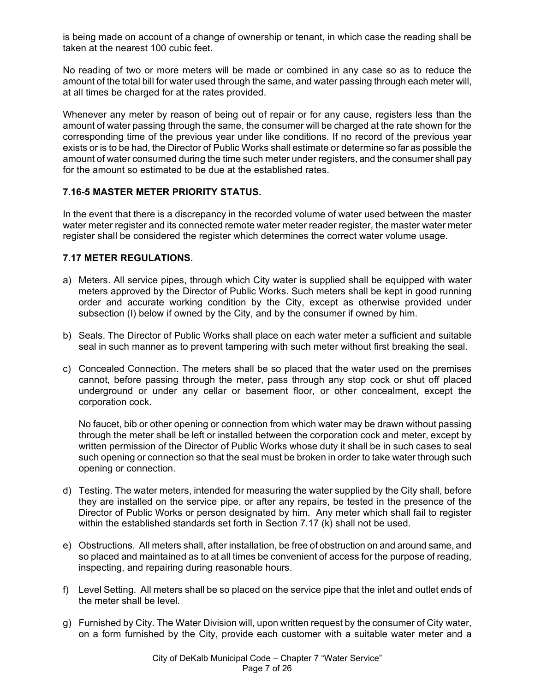is being made on account of a change of ownership or tenant, in which case the reading shall be taken at the nearest 100 cubic feet.

No reading of two or more meters will be made or combined in any case so as to reduce the amount of the total bill for water used through the same, and water passing through each meter will, at all times be charged for at the rates provided.

Whenever any meter by reason of being out of repair or for any cause, registers less than the amount of water passing through the same, the consumer will be charged at the rate shown for the corresponding time of the previous year under like conditions. If no record of the previous year exists or is to be had, the Director of Public Works shall estimate or determine so far as possible the amount of water consumed during the time such meter under registers, and the consumer shall pay for the amount so estimated to be due at the established rates.

### **7.16-5 MASTER METER PRIORITY STATUS.**

In the event that there is a discrepancy in the recorded volume of water used between the master water meter register and its connected remote water meter reader register, the master water meter register shall be considered the register which determines the correct water volume usage.

### **7.17 METER REGULATIONS.**

- a) Meters. All service pipes, through which City water is supplied shall be equipped with water meters approved by the Director of Public Works. Such meters shall be kept in good running order and accurate working condition by the City, except as otherwise provided under subsection (I) below if owned by the City, and by the consumer if owned by him.
- b) Seals. The Director of Public Works shall place on each water meter a sufficient and suitable seal in such manner as to prevent tampering with such meter without first breaking the seal.
- c) Concealed Connection. The meters shall be so placed that the water used on the premises cannot, before passing through the meter, pass through any stop cock or shut off placed underground or under any cellar or basement floor, or other concealment, except the corporation cock.

No faucet, bib or other opening or connection from which water may be drawn without passing through the meter shall be left or installed between the corporation cock and meter, except by written permission of the Director of Public Works whose duty it shall be in such cases to seal such opening or connection so that the seal must be broken in order to take water through such opening or connection.

- d) Testing. The water meters, intended for measuring the water supplied by the City shall, before they are installed on the service pipe, or after any repairs, be tested in the presence of the Director of Public Works or person designated by him. Any meter which shall fail to register within the established standards set forth in Section 7.17 (k) shall not be used.
- e) Obstructions. All meters shall, after installation, be free of obstruction on and around same, and so placed and maintained as to at all times be convenient of access for the purpose of reading, inspecting, and repairing during reasonable hours.
- f) Level Setting. All meters shall be so placed on the service pipe that the inlet and outlet ends of the meter shall be level.
- g) Furnished by City. The Water Division will, upon written request by the consumer of City water, on a form furnished by the City, provide each customer with a suitable water meter and a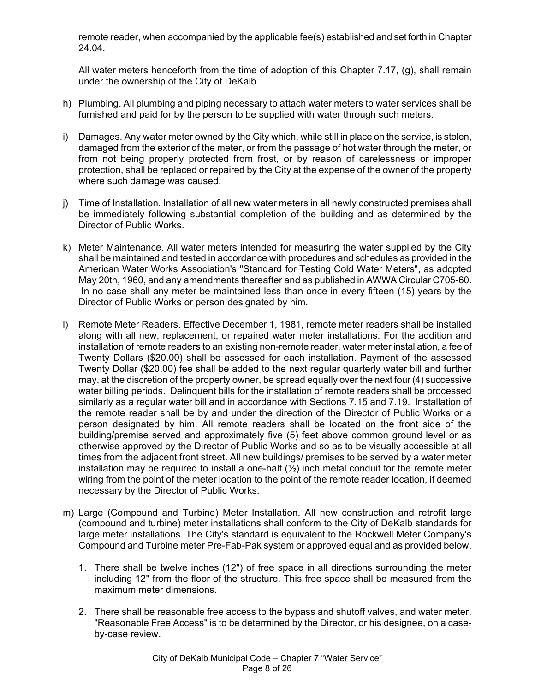remote reader, when accompanied by the applicable fee(s) established and set forth in Chapter 24.04.

All water meters henceforth from the time of adoption of this Chapter 7.17, (g), shall remain under the ownership of the City of DeKalb.

- h) Plumbing. All plumbing and piping necessary to attach water meters to water services shall be furnished and paid for by the person to be supplied with water through such meters.
- i) Damages. Any water meter owned by the City which, while still in place on the service, is stolen, damaged from the exterior of the meter, or from the passage of hot water through the meter, or from not being properly protected from frost, or by reason of carelessness or improper protection, shall be replaced or repaired by the City at the expense of the owner of the property where such damage was caused.
- j) Time of Installation. Installation of all new water meters in all newly constructed premises shall be immediately following substantial completion of the building and as determined by the Director of Public Works.
- k) Meter Maintenance. All water meters intended for measuring the water supplied by the City shall be maintained and tested in accordance with procedures and schedules as provided in the American Water Works Association's "Standard for Testing Cold Water Meters", as adopted May 20th, 1960, and any amendments thereafter and as published in AWWA Circular C705-60. In no case shall any meter be maintained less than once in every fifteen (15) years by the Director of Public Works or person designated by him.
- l) Remote Meter Readers. Effective December 1, 1981, remote meter readers shall be installed along with all new, replacement, or repaired water meter installations. For the addition and installation of remote readers to an existing non-remote reader, water meter installation, a fee of Twenty Dollars (\$20.00) shall be assessed for each installation. Payment of the assessed Twenty Dollar (\$20.00) fee shall be added to the next regular quarterly water bill and further may, at the discretion of the property owner, be spread equally over the next four (4) successive water billing periods. Delinquent bills for the installation of remote readers shall be processed similarly as a regular water bill and in accordance with Sections 7.15 and 7.19. Installation of the remote reader shall be by and under the direction of the Director of Public Works or a person designated by him. All remote readers shall be located on the front side of the building/premise served and approximately five (5) feet above common ground level or as otherwise approved by the Director of Public Works and so as to be visually accessible at all times from the adjacent front street. All new buildings/ premises to be served by a water meter installation may be required to install a one-half  $(\frac{1}{2})$  inch metal conduit for the remote meter wiring from the point of the meter location to the point of the remote reader location, if deemed necessary by the Director of Public Works.
- m) Large (Compound and Turbine) Meter Installation. All new construction and retrofit large (compound and turbine) meter installations shall conform to the City of DeKalb standards for large meter installations. The City's standard is equivalent to the Rockwell Meter Company's Compound and Turbine meter Pre-Fab-Pak system or approved equal and as provided below.
	- 1. There shall be twelve inches (12") of free space in all directions surrounding the meter including 12" from the floor of the structure. This free space shall be measured from the maximum meter dimensions.
	- 2. There shall be reasonable free access to the bypass and shutoff valves, and water meter. "Reasonable Free Access" is to be determined by the Director, or his designee, on a caseby-case review.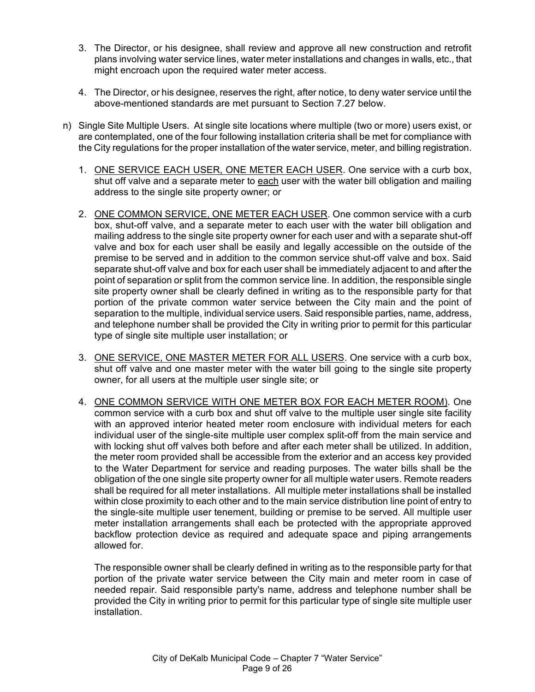- 3. The Director, or his designee, shall review and approve all new construction and retrofit plans involving water service lines, water meter installations and changes in walls, etc., that might encroach upon the required water meter access.
- 4. The Director, or his designee, reserves the right, after notice, to deny water service until the above-mentioned standards are met pursuant to Section 7.27 below.
- n) Single Site Multiple Users. At single site locations where multiple (two or more) users exist, or are contemplated, one of the four following installation criteria shall be met for compliance with the City regulations for the proper installation of the water service, meter, and billing registration.
	- 1. ONE SERVICE EACH USER, ONE METER EACH USER. One service with a curb box, shut off valve and a separate meter to each user with the water bill obligation and mailing address to the single site property owner; or
	- 2. ONE COMMON SERVICE, ONE METER EACH USER. One common service with a curb box, shut-off valve, and a separate meter to each user with the water bill obligation and mailing address to the single site property owner for each user and with a separate shut-off valve and box for each user shall be easily and legally accessible on the outside of the premise to be served and in addition to the common service shut-off valve and box. Said separate shut-off valve and box for each user shall be immediately adjacent to and after the point of separation or split from the common service line. In addition, the responsible single site property owner shall be clearly defined in writing as to the responsible party for that portion of the private common water service between the City main and the point of separation to the multiple, individual service users. Said responsible parties, name, address, and telephone number shall be provided the City in writing prior to permit for this particular type of single site multiple user installation; or
	- 3. ONE SERVICE, ONE MASTER METER FOR ALL USERS. One service with a curb box, shut off valve and one master meter with the water bill going to the single site property owner, for all users at the multiple user single site; or
	- 4. ONE COMMON SERVICE WITH ONE METER BOX FOR EACH METER ROOM). One common service with a curb box and shut off valve to the multiple user single site facility with an approved interior heated meter room enclosure with individual meters for each individual user of the single-site multiple user complex split-off from the main service and with locking shut off valves both before and after each meter shall be utilized. In addition, the meter room provided shall be accessible from the exterior and an access key provided to the Water Department for service and reading purposes. The water bills shall be the obligation of the one single site property owner for all multiple water users. Remote readers shall be required for all meter installations. All multiple meter installations shall be installed within close proximity to each other and to the main service distribution line point of entry to the single-site multiple user tenement, building or premise to be served. All multiple user meter installation arrangements shall each be protected with the appropriate approved backflow protection device as required and adequate space and piping arrangements allowed for.

The responsible owner shall be clearly defined in writing as to the responsible party for that portion of the private water service between the City main and meter room in case of needed repair. Said responsible party's name, address and telephone number shall be provided the City in writing prior to permit for this particular type of single site multiple user installation.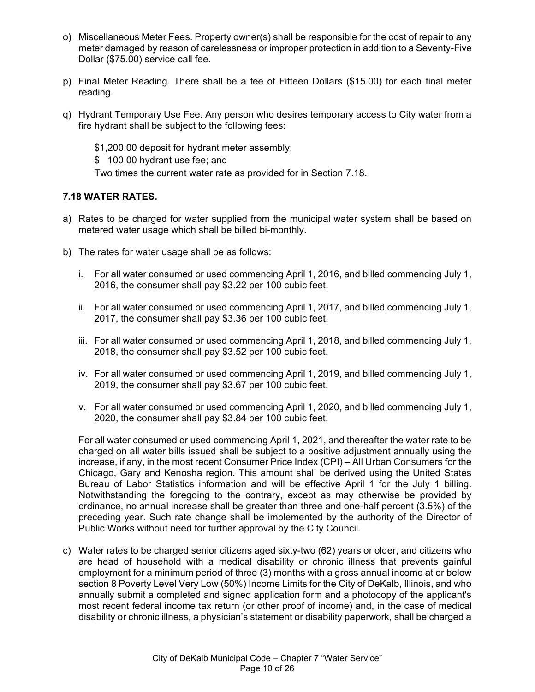- o) Miscellaneous Meter Fees. Property owner(s) shall be responsible for the cost of repair to any meter damaged by reason of carelessness or improper protection in addition to a Seventy-Five Dollar (\$75.00) service call fee.
- p) Final Meter Reading. There shall be a fee of Fifteen Dollars (\$15.00) for each final meter reading.
- q) Hydrant Temporary Use Fee. Any person who desires temporary access to City water from a fire hydrant shall be subject to the following fees:
	- \$1,200.00 deposit for hydrant meter assembly;
	- \$ 100.00 hydrant use fee; and

Two times the current water rate as provided for in Section 7.18.

# **7.18 WATER RATES.**

- a) Rates to be charged for water supplied from the municipal water system shall be based on metered water usage which shall be billed bi-monthly.
- b) The rates for water usage shall be as follows:
	- i. For all water consumed or used commencing April 1, 2016, and billed commencing July 1, 2016, the consumer shall pay \$3.22 per 100 cubic feet.
	- ii. For all water consumed or used commencing April 1, 2017, and billed commencing July 1, 2017, the consumer shall pay \$3.36 per 100 cubic feet.
	- iii. For all water consumed or used commencing April 1, 2018, and billed commencing July 1, 2018, the consumer shall pay \$3.52 per 100 cubic feet.
	- iv. For all water consumed or used commencing April 1, 2019, and billed commencing July 1, 2019, the consumer shall pay \$3.67 per 100 cubic feet.
	- v. For all water consumed or used commencing April 1, 2020, and billed commencing July 1, 2020, the consumer shall pay \$3.84 per 100 cubic feet.

For all water consumed or used commencing April 1, 2021, and thereafter the water rate to be charged on all water bills issued shall be subject to a positive adjustment annually using the increase, if any, in the most recent Consumer Price Index (CPI) – All Urban Consumers for the Chicago, Gary and Kenosha region. This amount shall be derived using the United States Bureau of Labor Statistics information and will be effective April 1 for the July 1 billing. Notwithstanding the foregoing to the contrary, except as may otherwise be provided by ordinance, no annual increase shall be greater than three and one-half percent (3.5%) of the preceding year. Such rate change shall be implemented by the authority of the Director of Public Works without need for further approval by the City Council.

c) Water rates to be charged senior citizens aged sixty-two (62) years or older, and citizens who are head of household with a medical disability or chronic illness that prevents gainful employment for a minimum period of three (3) months with a gross annual income at or below section 8 Poverty Level Very Low (50%) Income Limits for the City of DeKalb, Illinois, and who annually submit a completed and signed application form and a photocopy of the applicant's most recent federal income tax return (or other proof of income) and, in the case of medical disability or chronic illness, a physician's statement or disability paperwork, shall be charged a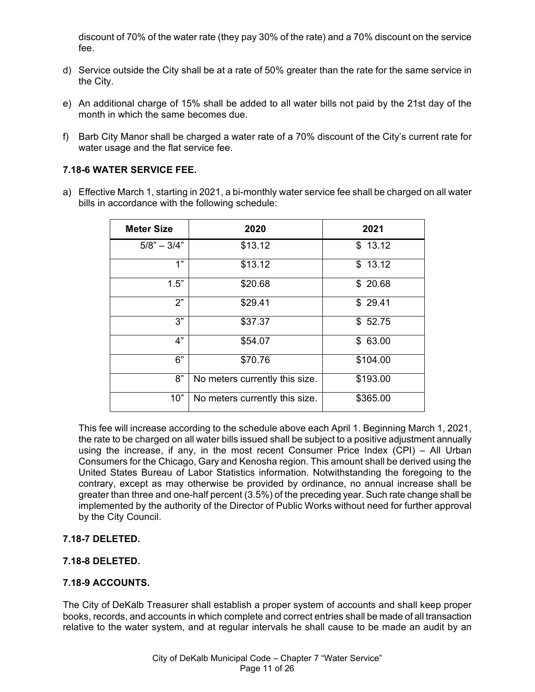discount of 70% of the water rate (they pay 30% of the rate) and a 70% discount on the service fee.

- d) Service outside the City shall be at a rate of 50% greater than the rate for the same service in the City.
- e) An additional charge of 15% shall be added to all water bills not paid by the 21st day of the month in which the same becomes due.
- f) Barb City Manor shall be charged a water rate of a 70% discount of the City's current rate for water usage and the flat service fee.

### **7.18-6 WATER SERVICE FEE.**

a) Effective March 1, starting in 2021, a bi-monthly water service fee shall be charged on all water bills in accordance with the following schedule:

| <b>Meter Size</b> | 2020                           | 2021     |
|-------------------|--------------------------------|----------|
| $5/8" - 3/4"$     | \$13.12                        | \$13.12  |
| 1"                | \$13.12                        | \$13.12  |
| 1.5"              | \$20.68                        | \$20.68  |
| 2"                | \$29.41                        | \$29.41  |
| 3"                | \$37.37                        | \$52.75  |
| 4"                | \$54.07                        | \$63.00  |
| 6"                | \$70.76                        | \$104.00 |
| 8"                | No meters currently this size. | \$193.00 |
| 10"               | No meters currently this size. | \$365.00 |

This fee will increase according to the schedule above each April 1. Beginning March 1, 2021, the rate to be charged on all water bills issued shall be subject to a positive adjustment annually using the increase, if any, in the most recent Consumer Price Index (CPI) – All Urban Consumers for the Chicago, Gary and Kenosha region. This amount shall be derived using the United States Bureau of Labor Statistics information. Notwithstanding the foregoing to the contrary, except as may otherwise be provided by ordinance, no annual increase shall be greater than three and one-half percent (3.5%) of the preceding year. Such rate change shall be implemented by the authority of the Director of Public Works without need for further approval by the City Council.

### **7.18-7 DELETED.**

### **7.18-8 DELETED.**

#### **7.18-9 ACCOUNTS.**

The City of DeKalb Treasurer shall establish a proper system of accounts and shall keep proper books, records, and accounts in which complete and correct entries shall be made of all transaction relative to the water system, and at regular intervals he shall cause to be made an audit by an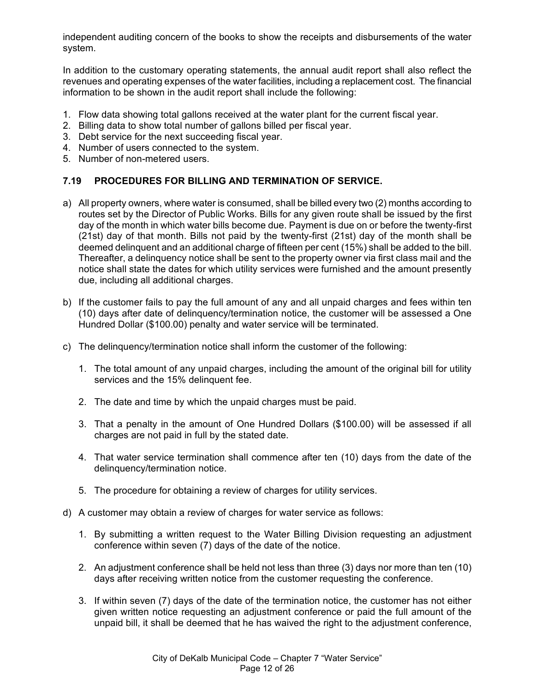independent auditing concern of the books to show the receipts and disbursements of the water system.

In addition to the customary operating statements, the annual audit report shall also reflect the revenues and operating expenses of the water facilities, including a replacement cost. The financial information to be shown in the audit report shall include the following:

- 1. Flow data showing total gallons received at the water plant for the current fiscal year.
- 2. Billing data to show total number of gallons billed per fiscal year.
- 3. Debt service for the next succeeding fiscal year.
- 4. Number of users connected to the system.
- 5. Number of non-metered users.

# **7.19 PROCEDURES FOR BILLING AND TERMINATION OF SERVICE.**

- a) All property owners, where water is consumed, shall be billed every two (2) months according to routes set by the Director of Public Works. Bills for any given route shall be issued by the first day of the month in which water bills become due. Payment is due on or before the twenty-first (21st) day of that month. Bills not paid by the twenty-first (21st) day of the month shall be deemed delinquent and an additional charge of fifteen per cent (15%) shall be added to the bill. Thereafter, a delinquency notice shall be sent to the property owner via first class mail and the notice shall state the dates for which utility services were furnished and the amount presently due, including all additional charges.
- b) If the customer fails to pay the full amount of any and all unpaid charges and fees within ten (10) days after date of delinquency/termination notice, the customer will be assessed a One Hundred Dollar (\$100.00) penalty and water service will be terminated.
- c) The delinquency/termination notice shall inform the customer of the following:
	- 1. The total amount of any unpaid charges, including the amount of the original bill for utility services and the 15% delinquent fee.
	- 2. The date and time by which the unpaid charges must be paid.
	- 3. That a penalty in the amount of One Hundred Dollars (\$100.00) will be assessed if all charges are not paid in full by the stated date.
	- 4. That water service termination shall commence after ten (10) days from the date of the delinquency/termination notice.
	- 5. The procedure for obtaining a review of charges for utility services.
- d) A customer may obtain a review of charges for water service as follows:
	- 1. By submitting a written request to the Water Billing Division requesting an adjustment conference within seven (7) days of the date of the notice.
	- 2. An adjustment conference shall be held not less than three (3) days nor more than ten (10) days after receiving written notice from the customer requesting the conference.
	- 3. If within seven (7) days of the date of the termination notice, the customer has not either given written notice requesting an adjustment conference or paid the full amount of the unpaid bill, it shall be deemed that he has waived the right to the adjustment conference,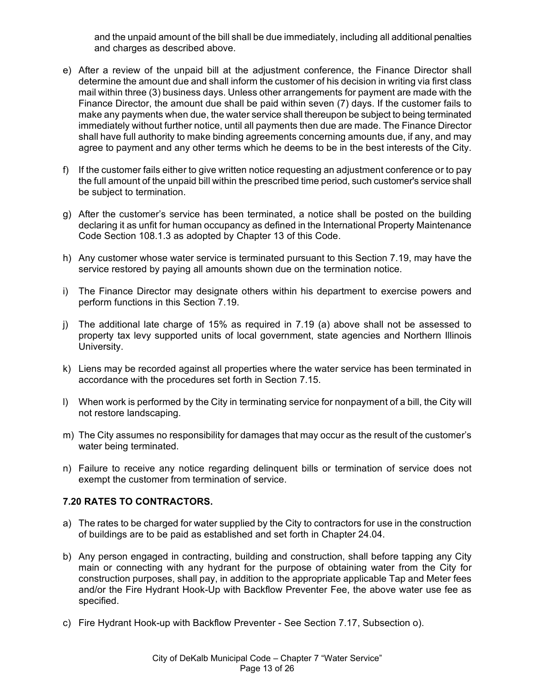and the unpaid amount of the bill shall be due immediately, including all additional penalties and charges as described above.

- e) After a review of the unpaid bill at the adjustment conference, the Finance Director shall determine the amount due and shall inform the customer of his decision in writing via first class mail within three (3) business days. Unless other arrangements for payment are made with the Finance Director, the amount due shall be paid within seven (7) days. If the customer fails to make any payments when due, the water service shall thereupon be subject to being terminated immediately without further notice, until all payments then due are made. The Finance Director shall have full authority to make binding agreements concerning amounts due, if any, and may agree to payment and any other terms which he deems to be in the best interests of the City.
- f) If the customer fails either to give written notice requesting an adjustment conference or to pay the full amount of the unpaid bill within the prescribed time period, such customer's service shall be subject to termination.
- g) After the customer's service has been terminated, a notice shall be posted on the building declaring it as unfit for human occupancy as defined in the International Property Maintenance Code Section 108.1.3 as adopted by Chapter 13 of this Code.
- h) Any customer whose water service is terminated pursuant to this Section 7.19, may have the service restored by paying all amounts shown due on the termination notice.
- i) The Finance Director may designate others within his department to exercise powers and perform functions in this Section 7.19.
- j) The additional late charge of 15% as required in 7.19 (a) above shall not be assessed to property tax levy supported units of local government, state agencies and Northern Illinois University.
- k) Liens may be recorded against all properties where the water service has been terminated in accordance with the procedures set forth in Section 7.15.
- l) When work is performed by the City in terminating service for nonpayment of a bill, the City will not restore landscaping.
- m) The City assumes no responsibility for damages that may occur as the result of the customer's water being terminated.
- n) Failure to receive any notice regarding delinquent bills or termination of service does not exempt the customer from termination of service.

### **7.20 RATES TO CONTRACTORS.**

- a) The rates to be charged for water supplied by the City to contractors for use in the construction of buildings are to be paid as established and set forth in Chapter 24.04.
- b) Any person engaged in contracting, building and construction, shall before tapping any City main or connecting with any hydrant for the purpose of obtaining water from the City for construction purposes, shall pay, in addition to the appropriate applicable Tap and Meter fees and/or the Fire Hydrant Hook-Up with Backflow Preventer Fee, the above water use fee as specified.
- c) Fire Hydrant Hook-up with Backflow Preventer See Section 7.17, Subsection o).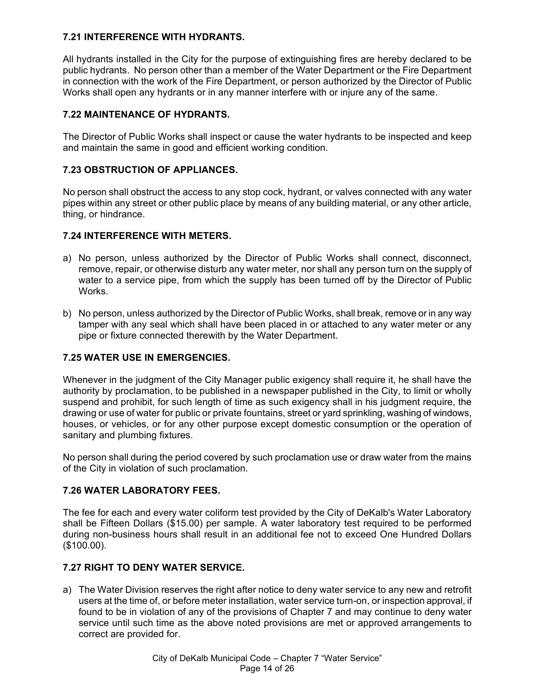# **7.21 INTERFERENCE WITH HYDRANTS.**

All hydrants installed in the City for the purpose of extinguishing fires are hereby declared to be public hydrants. No person other than a member of the Water Department or the Fire Department in connection with the work of the Fire Department, or person authorized by the Director of Public Works shall open any hydrants or in any manner interfere with or injure any of the same.

# **7.22 MAINTENANCE OF HYDRANTS.**

The Director of Public Works shall inspect or cause the water hydrants to be inspected and keep and maintain the same in good and efficient working condition.

### **7.23 OBSTRUCTION OF APPLIANCES.**

No person shall obstruct the access to any stop cock, hydrant, or valves connected with any water pipes within any street or other public place by means of any building material, or any other article, thing, or hindrance.

### **7.24 INTERFERENCE WITH METERS.**

- a) No person, unless authorized by the Director of Public Works shall connect, disconnect, remove, repair, or otherwise disturb any water meter, nor shall any person turn on the supply of water to a service pipe, from which the supply has been turned off by the Director of Public **Works**
- b) No person, unless authorized by the Director of Public Works, shall break, remove or in any way tamper with any seal which shall have been placed in or attached to any water meter or any pipe or fixture connected therewith by the Water Department.

### **7.25 WATER USE IN EMERGENCIES.**

Whenever in the judgment of the City Manager public exigency shall require it, he shall have the authority by proclamation, to be published in a newspaper published in the City, to limit or wholly suspend and prohibit, for such length of time as such exigency shall in his judgment require, the drawing or use of water for public or private fountains, street or yard sprinkling, washing of windows, houses, or vehicles, or for any other purpose except domestic consumption or the operation of sanitary and plumbing fixtures.

No person shall during the period covered by such proclamation use or draw water from the mains of the City in violation of such proclamation.

### **7.26 WATER LABORATORY FEES.**

The fee for each and every water coliform test provided by the City of DeKalb's Water Laboratory shall be Fifteen Dollars (\$15.00) per sample. A water laboratory test required to be performed during non-business hours shall result in an additional fee not to exceed One Hundred Dollars (\$100.00).

### **7.27 RIGHT TO DENY WATER SERVICE.**

a) The Water Division reserves the right after notice to deny water service to any new and retrofit users at the time of, or before meter installation, water service turn-on, or inspection approval, if found to be in violation of any of the provisions of Chapter 7 and may continue to deny water service until such time as the above noted provisions are met or approved arrangements to correct are provided for.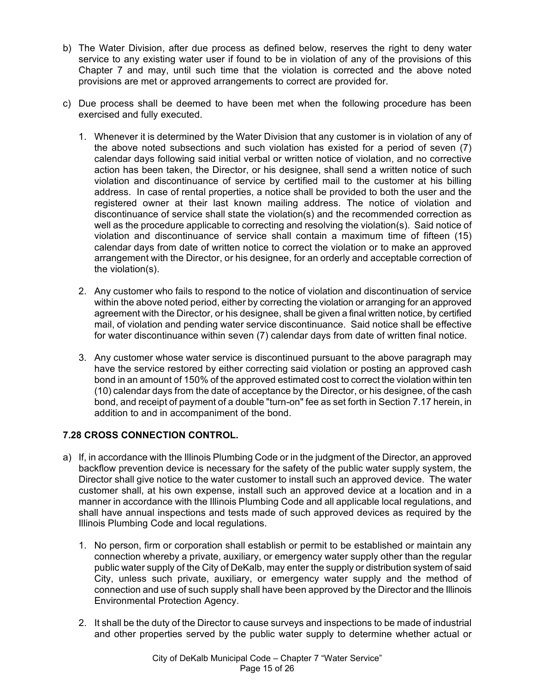- b) The Water Division, after due process as defined below, reserves the right to deny water service to any existing water user if found to be in violation of any of the provisions of this Chapter 7 and may, until such time that the violation is corrected and the above noted provisions are met or approved arrangements to correct are provided for.
- c) Due process shall be deemed to have been met when the following procedure has been exercised and fully executed.
	- 1. Whenever it is determined by the Water Division that any customer is in violation of any of the above noted subsections and such violation has existed for a period of seven (7) calendar days following said initial verbal or written notice of violation, and no corrective action has been taken, the Director, or his designee, shall send a written notice of such violation and discontinuance of service by certified mail to the customer at his billing address. In case of rental properties, a notice shall be provided to both the user and the registered owner at their last known mailing address. The notice of violation and discontinuance of service shall state the violation(s) and the recommended correction as well as the procedure applicable to correcting and resolving the violation(s). Said notice of violation and discontinuance of service shall contain a maximum time of fifteen (15) calendar days from date of written notice to correct the violation or to make an approved arrangement with the Director, or his designee, for an orderly and acceptable correction of the violation(s).
	- 2. Any customer who fails to respond to the notice of violation and discontinuation of service within the above noted period, either by correcting the violation or arranging for an approved agreement with the Director, or his designee, shall be given a final written notice, by certified mail, of violation and pending water service discontinuance. Said notice shall be effective for water discontinuance within seven (7) calendar days from date of written final notice.
	- 3. Any customer whose water service is discontinued pursuant to the above paragraph may have the service restored by either correcting said violation or posting an approved cash bond in an amount of 150% of the approved estimated cost to correct the violation within ten (10) calendar days from the date of acceptance by the Director, or his designee, of the cash bond, and receipt of payment of a double "turn-on" fee as set forth in Section 7.17 herein, in addition to and in accompaniment of the bond.

### **7.28 CROSS CONNECTION CONTROL.**

- a) If, in accordance with the Illinois Plumbing Code or in the judgment of the Director, an approved backflow prevention device is necessary for the safety of the public water supply system, the Director shall give notice to the water customer to install such an approved device. The water customer shall, at his own expense, install such an approved device at a location and in a manner in accordance with the Illinois Plumbing Code and all applicable local regulations, and shall have annual inspections and tests made of such approved devices as required by the Illinois Plumbing Code and local regulations.
	- 1. No person, firm or corporation shall establish or permit to be established or maintain any connection whereby a private, auxiliary, or emergency water supply other than the regular public water supply of the City of DeKalb, may enter the supply or distribution system of said City, unless such private, auxiliary, or emergency water supply and the method of connection and use of such supply shall have been approved by the Director and the Illinois Environmental Protection Agency.
	- 2. It shall be the duty of the Director to cause surveys and inspections to be made of industrial and other properties served by the public water supply to determine whether actual or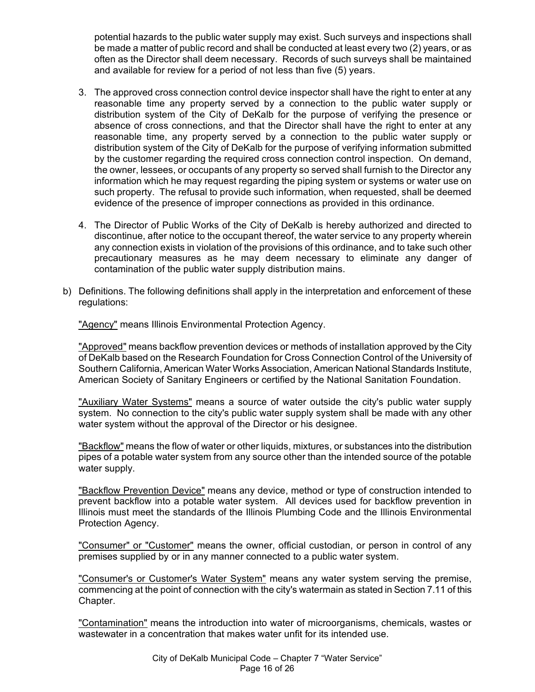potential hazards to the public water supply may exist. Such surveys and inspections shall be made a matter of public record and shall be conducted at least every two (2) years, or as often as the Director shall deem necessary. Records of such surveys shall be maintained and available for review for a period of not less than five (5) years.

- 3. The approved cross connection control device inspector shall have the right to enter at any reasonable time any property served by a connection to the public water supply or distribution system of the City of DeKalb for the purpose of verifying the presence or absence of cross connections, and that the Director shall have the right to enter at any reasonable time, any property served by a connection to the public water supply or distribution system of the City of DeKalb for the purpose of verifying information submitted by the customer regarding the required cross connection control inspection. On demand, the owner, lessees, or occupants of any property so served shall furnish to the Director any information which he may request regarding the piping system or systems or water use on such property. The refusal to provide such information, when requested, shall be deemed evidence of the presence of improper connections as provided in this ordinance.
- 4. The Director of Public Works of the City of DeKalb is hereby authorized and directed to discontinue, after notice to the occupant thereof, the water service to any property wherein any connection exists in violation of the provisions of this ordinance, and to take such other precautionary measures as he may deem necessary to eliminate any danger of contamination of the public water supply distribution mains.
- b) Definitions. The following definitions shall apply in the interpretation and enforcement of these regulations:

"Agency" means Illinois Environmental Protection Agency.

"Approved" means backflow prevention devices or methods of installation approved by the City of DeKalb based on the Research Foundation for Cross Connection Control of the University of Southern California, American Water Works Association, American National Standards Institute, American Society of Sanitary Engineers or certified by the National Sanitation Foundation.

"Auxiliary Water Systems" means a source of water outside the city's public water supply system. No connection to the city's public water supply system shall be made with any other water system without the approval of the Director or his designee.

"Backflow" means the flow of water or other liquids, mixtures, or substances into the distribution pipes of a potable water system from any source other than the intended source of the potable water supply.

"Backflow Prevention Device" means any device, method or type of construction intended to prevent backflow into a potable water system. All devices used for backflow prevention in Illinois must meet the standards of the Illinois Plumbing Code and the Illinois Environmental Protection Agency.

"Consumer" or "Customer" means the owner, official custodian, or person in control of any premises supplied by or in any manner connected to a public water system.

"Consumer's or Customer's Water System" means any water system serving the premise, commencing at the point of connection with the city's watermain as stated in Section 7.11 of this Chapter.

"Contamination" means the introduction into water of microorganisms, chemicals, wastes or wastewater in a concentration that makes water unfit for its intended use.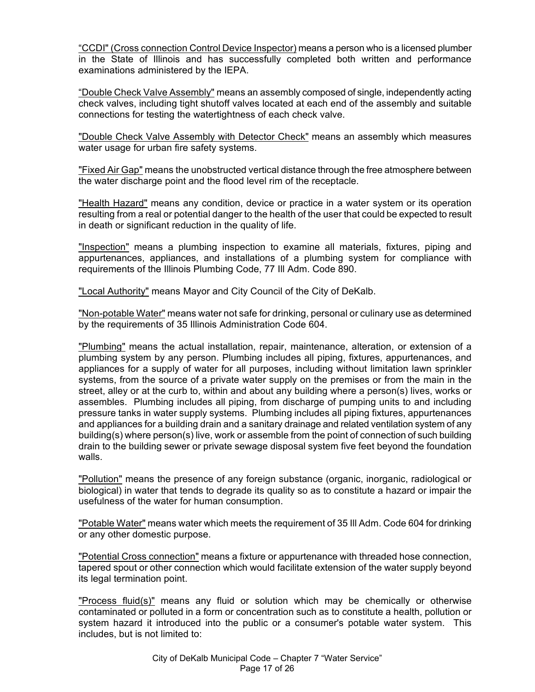"CCDI" (Cross connection Control Device Inspector) means a person who is a licensed plumber in the State of Illinois and has successfully completed both written and performance examinations administered by the IEPA.

"Double Check Valve Assembly" means an assembly composed of single, independently acting check valves, including tight shutoff valves located at each end of the assembly and suitable connections for testing the watertightness of each check valve.

"Double Check Valve Assembly with Detector Check" means an assembly which measures water usage for urban fire safety systems.

"Fixed Air Gap" means the unobstructed vertical distance through the free atmosphere between the water discharge point and the flood level rim of the receptacle.

"Health Hazard" means any condition, device or practice in a water system or its operation resulting from a real or potential danger to the health of the user that could be expected to result in death or significant reduction in the quality of life.

"Inspection" means a plumbing inspection to examine all materials, fixtures, piping and appurtenances, appliances, and installations of a plumbing system for compliance with requirements of the Illinois Plumbing Code, 77 Ill Adm. Code 890.

"Local Authority" means Mayor and City Council of the City of DeKalb.

"Non-potable Water" means water not safe for drinking, personal or culinary use as determined by the requirements of 35 Illinois Administration Code 604.

"Plumbing" means the actual installation, repair, maintenance, alteration, or extension of a plumbing system by any person. Plumbing includes all piping, fixtures, appurtenances, and appliances for a supply of water for all purposes, including without limitation lawn sprinkler systems, from the source of a private water supply on the premises or from the main in the street, alley or at the curb to, within and about any building where a person(s) lives, works or assembles. Plumbing includes all piping, from discharge of pumping units to and including pressure tanks in water supply systems. Plumbing includes all piping fixtures, appurtenances and appliances for a building drain and a sanitary drainage and related ventilation system of any building(s) where person(s) live, work or assemble from the point of connection of such building drain to the building sewer or private sewage disposal system five feet beyond the foundation walls.

"Pollution" means the presence of any foreign substance (organic, inorganic, radiological or biological) in water that tends to degrade its quality so as to constitute a hazard or impair the usefulness of the water for human consumption.

"Potable Water" means water which meets the requirement of 35 Ill Adm. Code 604 for drinking or any other domestic purpose.

"Potential Cross connection" means a fixture or appurtenance with threaded hose connection, tapered spout or other connection which would facilitate extension of the water supply beyond its legal termination point.

"Process fluid(s)" means any fluid or solution which may be chemically or otherwise contaminated or polluted in a form or concentration such as to constitute a health, pollution or system hazard it introduced into the public or a consumer's potable water system. This includes, but is not limited to: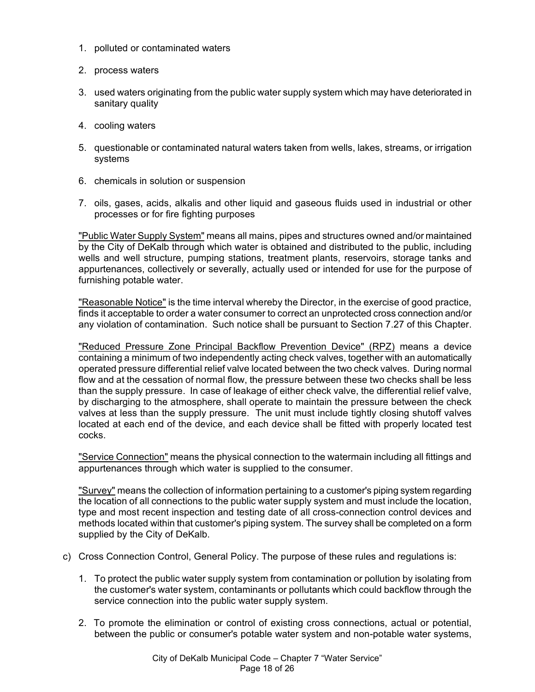- 1. polluted or contaminated waters
- 2. process waters
- 3. used waters originating from the public water supply system which may have deteriorated in sanitary quality
- 4. cooling waters
- 5. questionable or contaminated natural waters taken from wells, lakes, streams, or irrigation systems
- 6. chemicals in solution or suspension
- 7. oils, gases, acids, alkalis and other liquid and gaseous fluids used in industrial or other processes or for fire fighting purposes

"Public Water Supply System" means all mains, pipes and structures owned and/or maintained by the City of DeKalb through which water is obtained and distributed to the public, including wells and well structure, pumping stations, treatment plants, reservoirs, storage tanks and appurtenances, collectively or severally, actually used or intended for use for the purpose of furnishing potable water.

"Reasonable Notice" is the time interval whereby the Director, in the exercise of good practice, finds it acceptable to order a water consumer to correct an unprotected cross connection and/or any violation of contamination. Such notice shall be pursuant to Section 7.27 of this Chapter.

"Reduced Pressure Zone Principal Backflow Prevention Device" (RPZ) means a device containing a minimum of two independently acting check valves, together with an automatically operated pressure differential relief valve located between the two check valves. During normal flow and at the cessation of normal flow, the pressure between these two checks shall be less than the supply pressure. In case of leakage of either check valve, the differential relief valve, by discharging to the atmosphere, shall operate to maintain the pressure between the check valves at less than the supply pressure. The unit must include tightly closing shutoff valves located at each end of the device, and each device shall be fitted with properly located test cocks.

"Service Connection" means the physical connection to the watermain including all fittings and appurtenances through which water is supplied to the consumer.

"Survey" means the collection of information pertaining to a customer's piping system regarding the location of all connections to the public water supply system and must include the location, type and most recent inspection and testing date of all cross-connection control devices and methods located within that customer's piping system. The survey shall be completed on a form supplied by the City of DeKalb.

- c) Cross Connection Control, General Policy. The purpose of these rules and regulations is:
	- 1. To protect the public water supply system from contamination or pollution by isolating from the customer's water system, contaminants or pollutants which could backflow through the service connection into the public water supply system.
	- 2. To promote the elimination or control of existing cross connections, actual or potential, between the public or consumer's potable water system and non-potable water systems,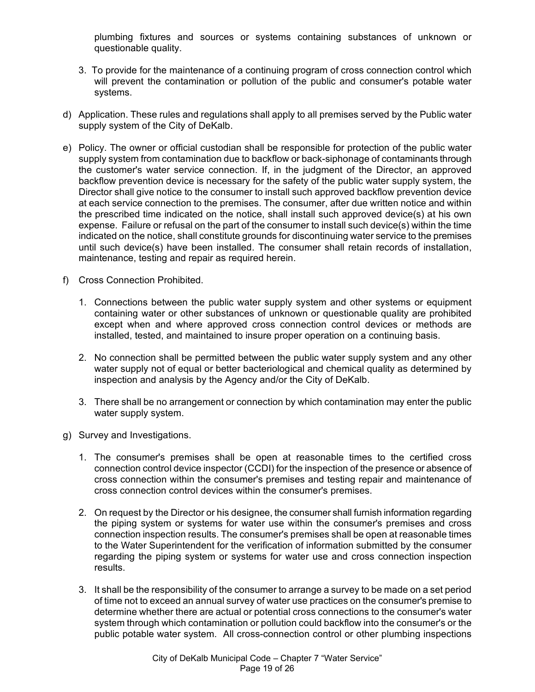plumbing fixtures and sources or systems containing substances of unknown or questionable quality.

- 3. To provide for the maintenance of a continuing program of cross connection control which will prevent the contamination or pollution of the public and consumer's potable water systems.
- d) Application. These rules and regulations shall apply to all premises served by the Public water supply system of the City of DeKalb.
- e) Policy. The owner or official custodian shall be responsible for protection of the public water supply system from contamination due to backflow or back-siphonage of contaminants through the customer's water service connection. If, in the judgment of the Director, an approved backflow prevention device is necessary for the safety of the public water supply system, the Director shall give notice to the consumer to install such approved backflow prevention device at each service connection to the premises. The consumer, after due written notice and within the prescribed time indicated on the notice, shall install such approved device(s) at his own expense. Failure or refusal on the part of the consumer to install such device(s) within the time indicated on the notice, shall constitute grounds for discontinuing water service to the premises until such device(s) have been installed. The consumer shall retain records of installation, maintenance, testing and repair as required herein.
- f) Cross Connection Prohibited.
	- 1. Connections between the public water supply system and other systems or equipment containing water or other substances of unknown or questionable quality are prohibited except when and where approved cross connection control devices or methods are installed, tested, and maintained to insure proper operation on a continuing basis.
	- 2. No connection shall be permitted between the public water supply system and any other water supply not of equal or better bacteriological and chemical quality as determined by inspection and analysis by the Agency and/or the City of DeKalb.
	- 3. There shall be no arrangement or connection by which contamination may enter the public water supply system.
- g) Survey and Investigations.
	- 1. The consumer's premises shall be open at reasonable times to the certified cross connection control device inspector (CCDI) for the inspection of the presence or absence of cross connection within the consumer's premises and testing repair and maintenance of cross connection control devices within the consumer's premises.
	- 2. On request by the Director or his designee, the consumer shall furnish information regarding the piping system or systems for water use within the consumer's premises and cross connection inspection results. The consumer's premises shall be open at reasonable times to the Water Superintendent for the verification of information submitted by the consumer regarding the piping system or systems for water use and cross connection inspection results.
	- 3. It shall be the responsibility of the consumer to arrange a survey to be made on a set period of time not to exceed an annual survey of water use practices on the consumer's premise to determine whether there are actual or potential cross connections to the consumer's water system through which contamination or pollution could backflow into the consumer's or the public potable water system. All cross-connection control or other plumbing inspections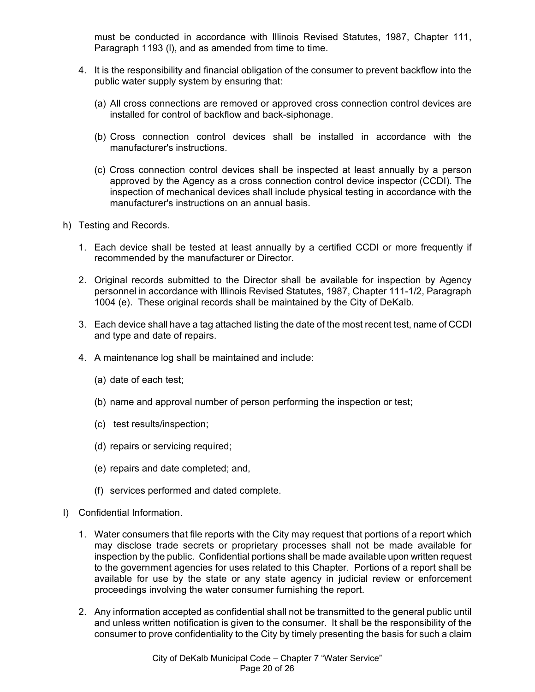must be conducted in accordance with Illinois Revised Statutes, 1987, Chapter 111, Paragraph 1193 (l), and as amended from time to time.

- 4. It is the responsibility and financial obligation of the consumer to prevent backflow into the public water supply system by ensuring that:
	- (a) All cross connections are removed or approved cross connection control devices are installed for control of backflow and back-siphonage.
	- (b) Cross connection control devices shall be installed in accordance with the manufacturer's instructions.
	- (c) Cross connection control devices shall be inspected at least annually by a person approved by the Agency as a cross connection control device inspector (CCDI). The inspection of mechanical devices shall include physical testing in accordance with the manufacturer's instructions on an annual basis.
- h) Testing and Records.
	- 1. Each device shall be tested at least annually by a certified CCDI or more frequently if recommended by the manufacturer or Director.
	- 2. Original records submitted to the Director shall be available for inspection by Agency personnel in accordance with Illinois Revised Statutes, 1987, Chapter 111-1/2, Paragraph 1004 (e). These original records shall be maintained by the City of DeKalb.
	- 3. Each device shall have a tag attached listing the date of the most recent test, name of CCDI and type and date of repairs.
	- 4. A maintenance log shall be maintained and include:
		- (a) date of each test;
		- (b) name and approval number of person performing the inspection or test;
		- (c) test results/inspection;
		- (d) repairs or servicing required;
		- (e) repairs and date completed; and,
		- (f) services performed and dated complete.
- I) Confidential Information.
	- 1. Water consumers that file reports with the City may request that portions of a report which may disclose trade secrets or proprietary processes shall not be made available for inspection by the public. Confidential portions shall be made available upon written request to the government agencies for uses related to this Chapter. Portions of a report shall be available for use by the state or any state agency in judicial review or enforcement proceedings involving the water consumer furnishing the report.
	- 2. Any information accepted as confidential shall not be transmitted to the general public until and unless written notification is given to the consumer. It shall be the responsibility of the consumer to prove confidentiality to the City by timely presenting the basis for such a claim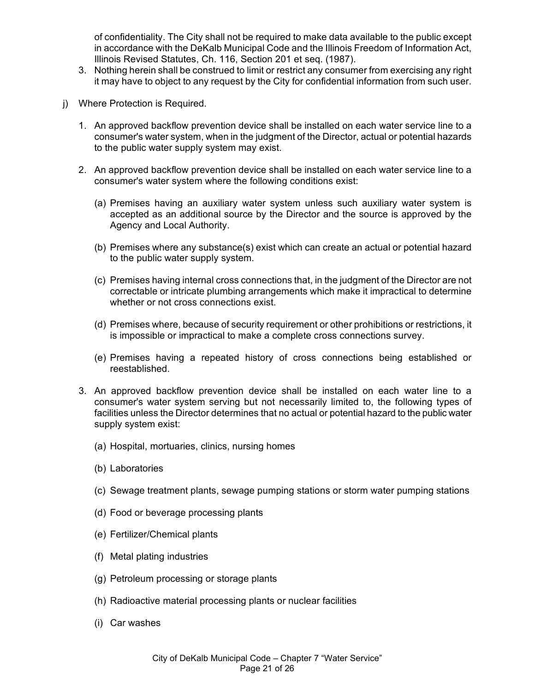of confidentiality. The City shall not be required to make data available to the public except in accordance with the DeKalb Municipal Code and the Illinois Freedom of Information Act, Illinois Revised Statutes, Ch. 116, Section 201 et seq. (1987).

- 3. Nothing herein shall be construed to limit or restrict any consumer from exercising any right it may have to object to any request by the City for confidential information from such user.
- j) Where Protection is Required.
	- 1. An approved backflow prevention device shall be installed on each water service line to a consumer's water system, when in the judgment of the Director, actual or potential hazards to the public water supply system may exist.
	- 2. An approved backflow prevention device shall be installed on each water service line to a consumer's water system where the following conditions exist:
		- (a) Premises having an auxiliary water system unless such auxiliary water system is accepted as an additional source by the Director and the source is approved by the Agency and Local Authority.
		- (b) Premises where any substance(s) exist which can create an actual or potential hazard to the public water supply system.
		- (c) Premises having internal cross connections that, in the judgment of the Director are not correctable or intricate plumbing arrangements which make it impractical to determine whether or not cross connections exist.
		- (d) Premises where, because of security requirement or other prohibitions or restrictions, it is impossible or impractical to make a complete cross connections survey.
		- (e) Premises having a repeated history of cross connections being established or reestablished.
	- 3. An approved backflow prevention device shall be installed on each water line to a consumer's water system serving but not necessarily limited to, the following types of facilities unless the Director determines that no actual or potential hazard to the public water supply system exist:
		- (a) Hospital, mortuaries, clinics, nursing homes
		- (b) Laboratories
		- (c) Sewage treatment plants, sewage pumping stations or storm water pumping stations
		- (d) Food or beverage processing plants
		- (e) Fertilizer/Chemical plants
		- (f) Metal plating industries
		- (g) Petroleum processing or storage plants
		- (h) Radioactive material processing plants or nuclear facilities
		- (i) Car washes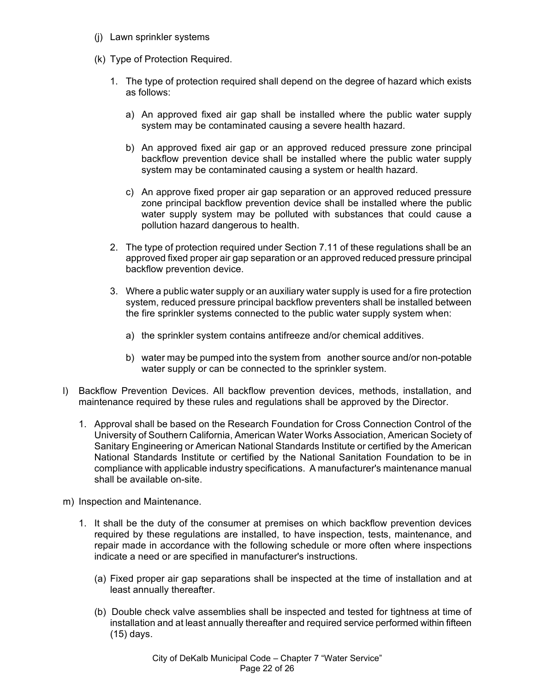- (j) Lawn sprinkler systems
- (k) Type of Protection Required.
	- 1. The type of protection required shall depend on the degree of hazard which exists as follows:
		- a) An approved fixed air gap shall be installed where the public water supply system may be contaminated causing a severe health hazard.
		- b) An approved fixed air gap or an approved reduced pressure zone principal backflow prevention device shall be installed where the public water supply system may be contaminated causing a system or health hazard.
		- c) An approve fixed proper air gap separation or an approved reduced pressure zone principal backflow prevention device shall be installed where the public water supply system may be polluted with substances that could cause a pollution hazard dangerous to health.
	- 2. The type of protection required under Section 7.11 of these regulations shall be an approved fixed proper air gap separation or an approved reduced pressure principal backflow prevention device.
	- 3. Where a public water supply or an auxiliary water supply is used for a fire protection system, reduced pressure principal backflow preventers shall be installed between the fire sprinkler systems connected to the public water supply system when:
		- a) the sprinkler system contains antifreeze and/or chemical additives.
		- b) water may be pumped into the system from another source and/or non-potable water supply or can be connected to the sprinkler system.
- l) Backflow Prevention Devices. All backflow prevention devices, methods, installation, and maintenance required by these rules and regulations shall be approved by the Director.
	- 1. Approval shall be based on the Research Foundation for Cross Connection Control of the University of Southern California, American Water Works Association, American Society of Sanitary Engineering or American National Standards Institute or certified by the American National Standards Institute or certified by the National Sanitation Foundation to be in compliance with applicable industry specifications. A manufacturer's maintenance manual shall be available on-site.
- m) Inspection and Maintenance.
	- 1. It shall be the duty of the consumer at premises on which backflow prevention devices required by these regulations are installed, to have inspection, tests, maintenance, and repair made in accordance with the following schedule or more often where inspections indicate a need or are specified in manufacturer's instructions.
		- (a) Fixed proper air gap separations shall be inspected at the time of installation and at least annually thereafter.
		- (b) Double check valve assemblies shall be inspected and tested for tightness at time of installation and at least annually thereafter and required service performed within fifteen (15) days.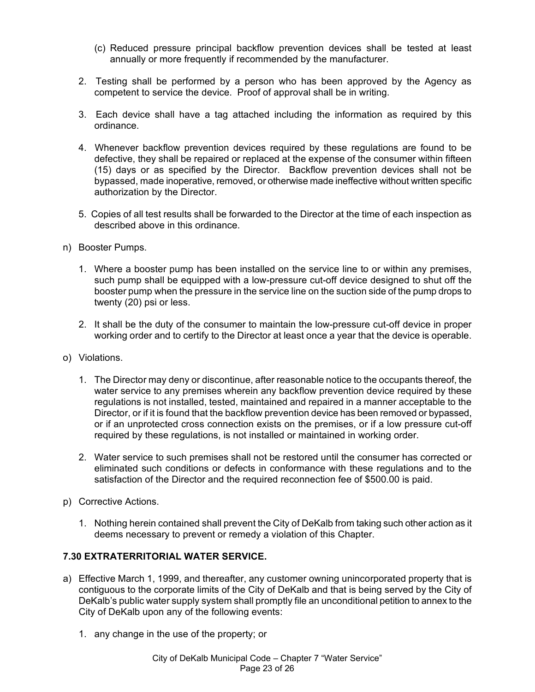- (c) Reduced pressure principal backflow prevention devices shall be tested at least annually or more frequently if recommended by the manufacturer.
- 2. Testing shall be performed by a person who has been approved by the Agency as competent to service the device. Proof of approval shall be in writing.
- 3. Each device shall have a tag attached including the information as required by this ordinance.
- 4. Whenever backflow prevention devices required by these regulations are found to be defective, they shall be repaired or replaced at the expense of the consumer within fifteen (15) days or as specified by the Director. Backflow prevention devices shall not be bypassed, made inoperative, removed, or otherwise made ineffective without written specific authorization by the Director.
- 5. Copies of all test results shall be forwarded to the Director at the time of each inspection as described above in this ordinance.
- n) Booster Pumps.
	- 1. Where a booster pump has been installed on the service line to or within any premises, such pump shall be equipped with a low-pressure cut-off device designed to shut off the booster pump when the pressure in the service line on the suction side of the pump drops to twenty (20) psi or less.
	- 2. It shall be the duty of the consumer to maintain the low-pressure cut-off device in proper working order and to certify to the Director at least once a year that the device is operable.
- o) Violations.
	- 1. The Director may deny or discontinue, after reasonable notice to the occupants thereof, the water service to any premises wherein any backflow prevention device required by these regulations is not installed, tested, maintained and repaired in a manner acceptable to the Director, or if it is found that the backflow prevention device has been removed or bypassed, or if an unprotected cross connection exists on the premises, or if a low pressure cut-off required by these regulations, is not installed or maintained in working order.
	- 2. Water service to such premises shall not be restored until the consumer has corrected or eliminated such conditions or defects in conformance with these regulations and to the satisfaction of the Director and the required reconnection fee of \$500.00 is paid.
- p) Corrective Actions.
	- 1. Nothing herein contained shall prevent the City of DeKalb from taking such other action as it deems necessary to prevent or remedy a violation of this Chapter.

# **7.30 EXTRATERRITORIAL WATER SERVICE.**

- a) Effective March 1, 1999, and thereafter, any customer owning unincorporated property that is contiguous to the corporate limits of the City of DeKalb and that is being served by the City of DeKalb's public water supply system shall promptly file an unconditional petition to annex to the City of DeKalb upon any of the following events:
	- 1. any change in the use of the property; or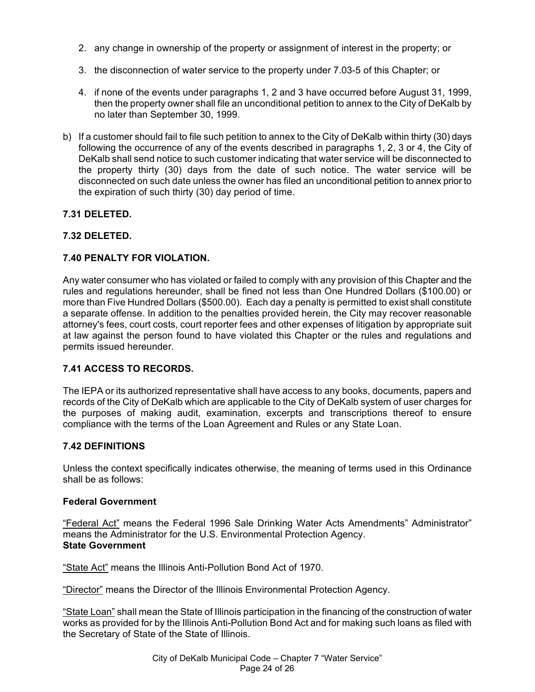- 2. any change in ownership of the property or assignment of interest in the property; or
- 3. the disconnection of water service to the property under 7.03-5 of this Chapter; or
- 4. if none of the events under paragraphs 1, 2 and 3 have occurred before August 31, 1999, then the property owner shall file an unconditional petition to annex to the City of DeKalb by no later than September 30, 1999.
- b) If a customer should fail to file such petition to annex to the City of DeKalb within thirty (30) days following the occurrence of any of the events described in paragraphs 1, 2, 3 or 4, the City of DeKalb shall send notice to such customer indicating that water service will be disconnected to the property thirty (30) days from the date of such notice. The water service will be disconnected on such date unless the owner has filed an unconditional petition to annex prior to the expiration of such thirty (30) day period of time.

# **7.31 DELETED.**

# **7.32 DELETED.**

# **7.40 PENALTY FOR VIOLATION.**

Any water consumer who has violated or failed to comply with any provision of this Chapter and the rules and regulations hereunder, shall be fined not less than One Hundred Dollars (\$100.00) or more than Five Hundred Dollars (\$500.00). Each day a penalty is permitted to exist shall constitute a separate offense. In addition to the penalties provided herein, the City may recover reasonable attorney's fees, court costs, court reporter fees and other expenses of litigation by appropriate suit at law against the person found to have violated this Chapter or the rules and regulations and permits issued hereunder.

### **7.41 ACCESS TO RECORDS.**

The IEPA or its authorized representative shall have access to any books, documents, papers and records of the City of DeKalb which are applicable to the City of DeKalb system of user charges for the purposes of making audit, examination, excerpts and transcriptions thereof to ensure compliance with the terms of the Loan Agreement and Rules or any State Loan.

### **7.42 DEFINITIONS**

Unless the context specifically indicates otherwise, the meaning of terms used in this Ordinance shall be as follows:

#### **Federal Government**

"Federal Act" means the Federal 1996 Sale Drinking Water Acts Amendments" Administrator" means the Administrator for the U.S. Environmental Protection Agency. **State Government**

"State Act" means the Illinois Anti-Pollution Bond Act of 1970.

"Director" means the Director of the Illinois Environmental Protection Agency.

"State Loan" shall mean the State of Illinois participation in the financing of the construction of water works as provided for by the Illinois Anti-Pollution Bond Act and for making such loans as filed with the Secretary of State of the State of Illinois.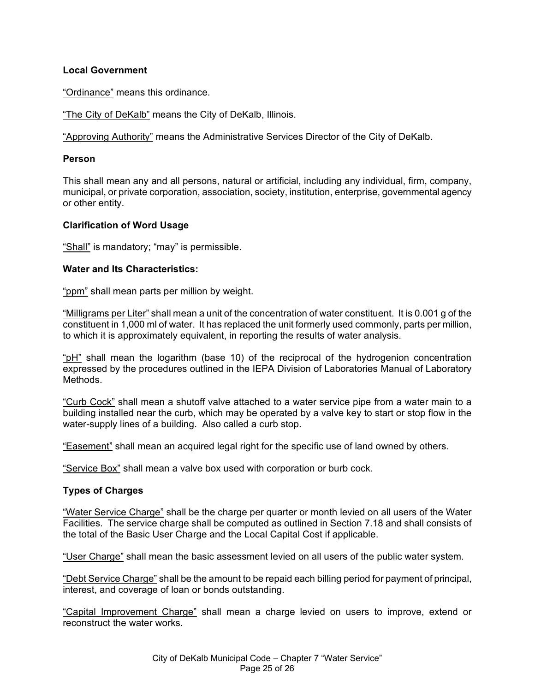### **Local Government**

"Ordinance" means this ordinance.

"The City of DeKalb" means the City of DeKalb, Illinois.

"Approving Authority" means the Administrative Services Director of the City of DeKalb.

#### **Person**

This shall mean any and all persons, natural or artificial, including any individual, firm, company, municipal, or private corporation, association, society, institution, enterprise, governmental agency or other entity.

### **Clarification of Word Usage**

"Shall" is mandatory; "may" is permissible.

### **Water and Its Characteristics:**

"ppm" shall mean parts per million by weight.

"Milligrams per Liter" shall mean a unit of the concentration of water constituent. It is 0.001 g of the constituent in 1,000 ml of water. It has replaced the unit formerly used commonly, parts per million, to which it is approximately equivalent, in reporting the results of water analysis.

"pH" shall mean the logarithm (base 10) of the reciprocal of the hydrogenion concentration expressed by the procedures outlined in the IEPA Division of Laboratories Manual of Laboratory Methods.

"Curb Cock" shall mean a shutoff valve attached to a water service pipe from a water main to a building installed near the curb, which may be operated by a valve key to start or stop flow in the water-supply lines of a building. Also called a curb stop.

"Easement" shall mean an acquired legal right for the specific use of land owned by others.

"Service Box" shall mean a valve box used with corporation or burb cock.

### **Types of Charges**

"Water Service Charge" shall be the charge per quarter or month levied on all users of the Water Facilities. The service charge shall be computed as outlined in Section 7.18 and shall consists of the total of the Basic User Charge and the Local Capital Cost if applicable.

"User Charge" shall mean the basic assessment levied on all users of the public water system.

"Debt Service Charge" shall be the amount to be repaid each billing period for payment of principal, interest, and coverage of loan or bonds outstanding.

"Capital Improvement Charge" shall mean a charge levied on users to improve, extend or reconstruct the water works.